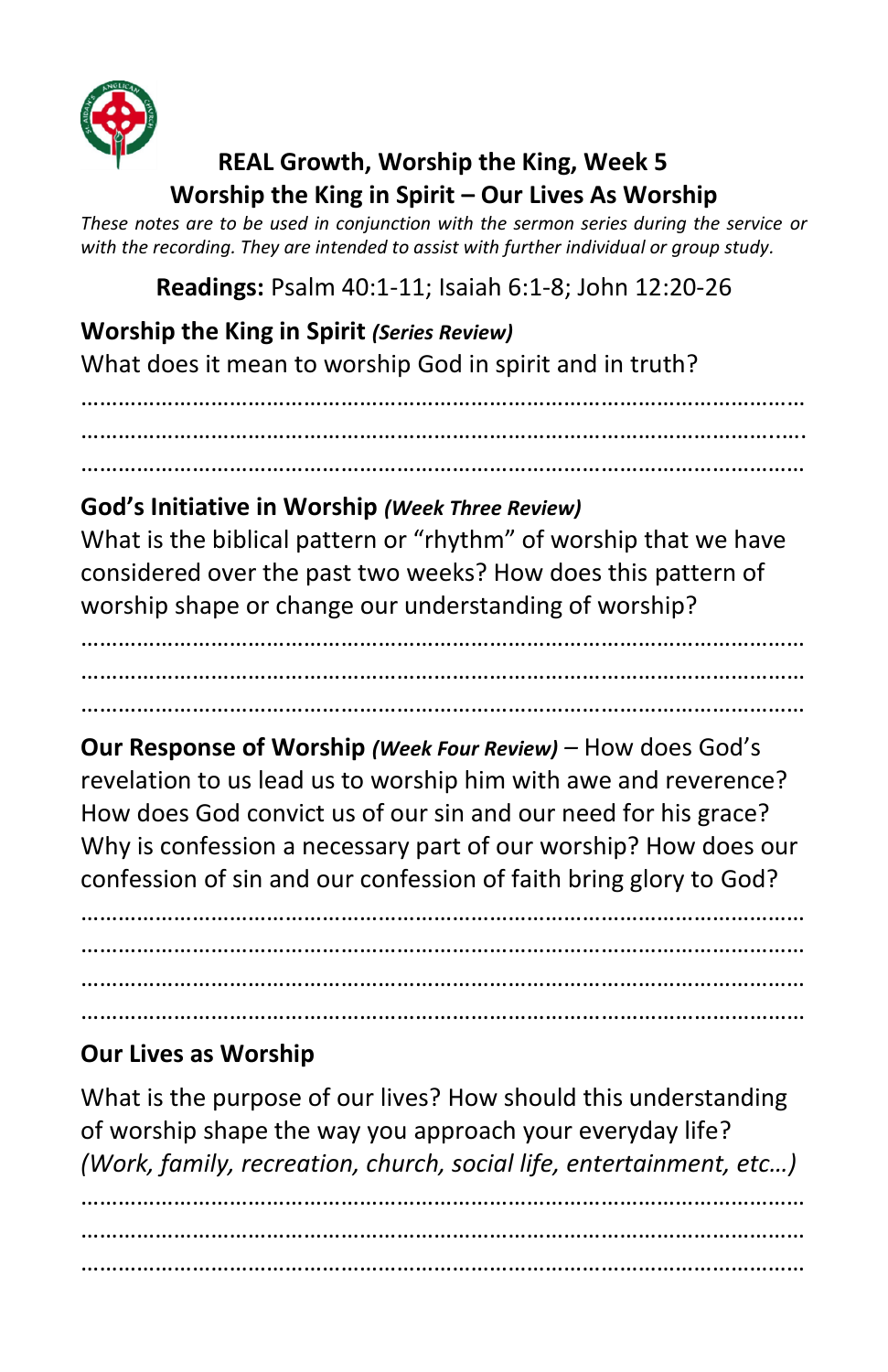

## **REAL Growth, Worship the King, Week 5 Worship the King in Spirit – Our Lives As Worship**

*These notes are to be used in conjunction with the sermon series during the service or with the recording. They are intended to assist with further individual or group study.*

**Readings:** Psalm 40:1-11; Isaiah 6:1-8; John 12:20-26

**Worship the King in Spirit** *(Series Review)* What does it mean to worship God in spirit and in truth?

……………………………………………………………………………………………………… …………………………………………………………………………………………………..…. ………………………………………………………………………………………………………

## **God's Initiative in Worship** *(Week Three Review)*

………………………………………………………………………………………………………

What is the biblical pattern or "rhythm" of worship that we have considered over the past two weeks? How does this pattern of worship shape or change our understanding of worship?

……………………………………………………………………………………………………… ………………………………………………………………………………………………………

**Our Response of Worship** *(Week Four Review) –* How does God's revelation to us lead us to worship him with awe and reverence? How does God convict us of our sin and our need for his grace? Why is confession a necessary part of our worship? How does our confession of sin and our confession of faith bring glory to God?

……………………………………………………………………………………………………… ……………………………………………………………………………………………………… ……………………………………………………………………………………………………… ………………………………………………………………………………………………………

## **Our Lives as Worship**

What is the purpose of our lives? How should this understanding of worship shape the way you approach your everyday life? *(Work, family, recreation, church, social life, entertainment, etc…)*

……………………………………………………………………………………………………… ……………………………………………………………………………………………………… ………………………………………………………………………………………………………